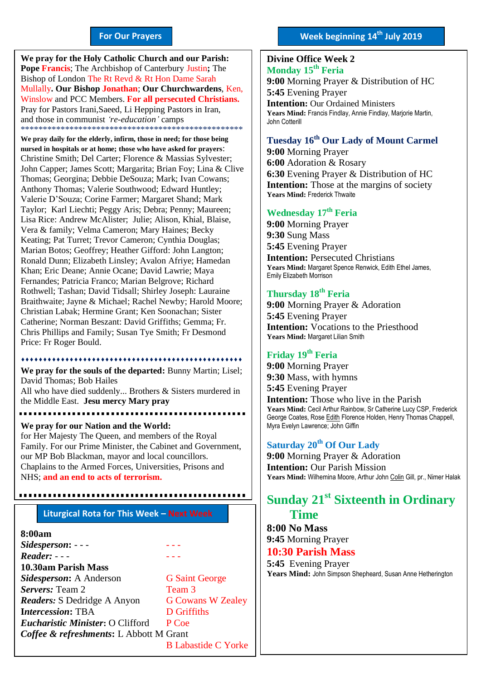#### **For Our Prayers**

arted Mullally**. Our Bishop Jonathan**; **Our Churchwardens**, Ken, **We pray for the Holy Catholic Church and our Parish: Pope Francis**; The Archbishop of Canterbury Justin**;** The Bishop of London The Rt Revd & Rt Hon Dame Sarah Winslow and PCC Members. **For all persecuted Christians.** Pray for Pastors Irani,Saeed, Li Hepping Pastors in Iran, and those in communist *'re-education'* camps \*\*\*\*\*\*\*\*\*\*\*\*\*\*\*\*\*\*\*\*\*\*\*\*\*\*\*\*\*\*\*\*\*\*\*\*\*\*\*\*\*\*\*\*\*\*\*\*\*\*

**We pray daily for the elderly, infirm, those in need; for those being nursed in hospitals or at home; those who have asked for prayers**: Christine Smith; Del Carter; Florence & Massias Sylvester; John Capper; James Scott; Margarita; Brian Foy; Lina & Clive Thomas; Georgina; Debbie DeSouza; Mark; Ivan Cowans; Anthony Thomas; Valerie Southwood; Edward Huntley; Valerie D'Souza; Corine Farmer; Margaret Shand; Mark Taylor; Karl Liechti; Peggy Aris; Debra; Penny; Maureen; Lisa Rice: Andrew McAlister; Julie; Alison, Khial, Blaise, Vera & family; Velma Cameron; Mary Haines; Becky Keating; Pat Turret; Trevor Cameron; Cynthia Douglas; Marian Botos; Geoffrey; Heather Gifford: John Langton; Ronald Dunn; Elizabeth Linsley; Avalon Afriye; Hamedan Khan; Eric Deane; Annie Ocane; David Lawrie; Maya Fernandes; Patricia Franco; Marian Belgrove; Richard Rothwell; Tashan; David Tidsall; Shirley Joseph: Lauraine Braithwaite; Jayne & Michael; Rachel Newby; Harold Moore; Christian Labak; Hermine Grant; Ken Soonachan; Sister Catherine; Norman Beszant: David Griffiths; Gemma; Fr. Chris Phillips and Family; Susan Tye Smith; Fr Desmond Price: Fr Roger Bould.

............................

**We pray for the souls of the departed:** Bunny Martin; Lisel; David Thomas; Bob Hailes All who have died suddenly... Brothers & Sisters murdered in the Middle East. **Jesu mercy Mary pray**

. . . . . . . . . . . . . .

**We pray for our Nation and the World:** for Her Majesty The Queen, and members of the Royal Family. For our Prime Minister, the Cabinet and Government, our MP Bob Blackman, mayor and local councillors. Chaplains to the Armed Forces, Universities, Prisons and NHS; **and an end to acts of terrorism.**

#### **Liturgical Rota for This Week – Next Week**

#### **8:00am**

*Sidesperson***:** - - - - - - *Reader:* - - -- - - **10.30am Parish Mass Sidesperson:** A Anderson G Saint George **Servers:** Team 2 Team 3 *Readers*: S Dedridge A Anyon G Cowans W Zealey **I***ntercession***:** TBA D Griffiths *Eucharistic Minister***:** O Clifford P Coe *Coffee & refreshments***:** L Abbott M Grant B Labastide C Yorke

## **Week beginning 14th July 2019**

#### **Divine Office Week 2 Monday 15th Feria**

**9:00** Morning Prayer & Distribution of HC **5:45** Evening Prayer

**Intention:** Our Ordained Ministers **Years Mind:** Francis Findlay, Annie Findlay, Marjorie Martin, John Cotterill

### **Tuesday 16th Our Lady of Mount Carmel 9:00** Morning Prayer

**6:00** Adoration & Rosary **6:30** Evening Prayer & Distribution of HC **Intention:** Those at the margins of society **Years Mind:** Frederick Thwaite

#### **Wednesday 17 th Feria**

**9:00** Morning Prayer **9:30** Sung Mass **5:45** Evening Prayer **Intention: Persecuted Christians Years Mind:** Margaret Spence Renwick, Edith Ethel James, Emily Elizabeth Morrison

#### **Thursday 18 th Feria**

**9:00** Morning Prayer & Adoration **5:45** Evening Prayer **Intention:** Vocations to the Priesthood **Years Mind:** Margaret Lilian Smith

#### **Friday 19 th Feria**

**9:00** Morning Prayer **9:30** Mass, with hymns **5:45** Evening Prayer **Intention:** Those who live in the Parish **Years Mind:** Cecil Arthur Rainbow, Sr Catherine Lucy CSP, Frederick George Coates, Rose Edith Florence Holden, Henry Thomas Chappell, Myra Evelyn Lawrence; John Giffin

### **Saturday 20th Of Our Lady**

**9:00** Morning Prayer & Adoration **Intention:** Our Parish Mission **Years Mind:** Wilhemina Moore, Arthur John Colin Gill, pr., Nimer Halak

# **Sunday 21 st Sixteenth in Ordinary Time**

**8:00 No Mass 9:45** Morning Prayer

**10:30 Parish Mass**

**5:45** Evening Prayer **Years Mind:** John Simpson Shepheard, Susan Anne Hetherington